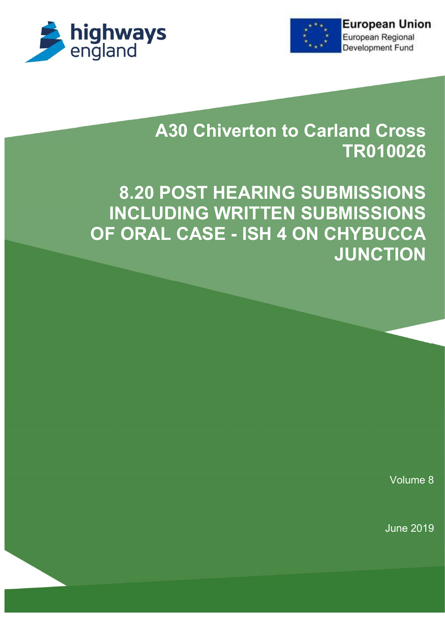



# **A30 Chiverton to Carland Cross** TR010026

8.20 POST HEARING SUBMISSIONS INCLUDING WRITTEN SUBMISSIONS OF ORAL CASE - ISH 4 ON CHYBUCCA **JUNCTION** 

Volume 8

June 2019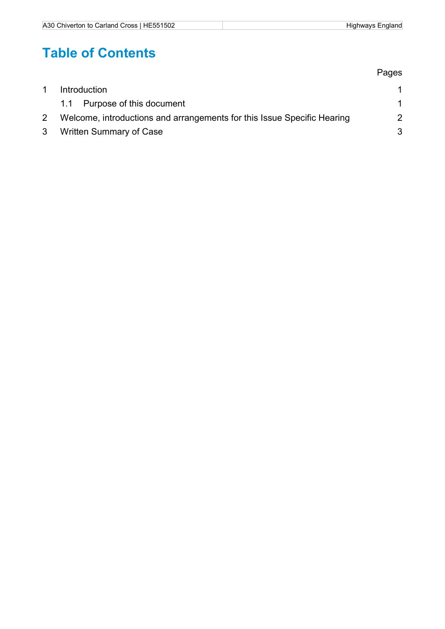# Table of Contents

|                                                                         | Pages         |
|-------------------------------------------------------------------------|---------------|
| <b>Introduction</b>                                                     |               |
| 1.1 Purpose of this document                                            |               |
| Welcome, introductions and arrangements for this Issue Specific Hearing | $\mathcal{P}$ |
| <b>Written Summary of Case</b>                                          | 3             |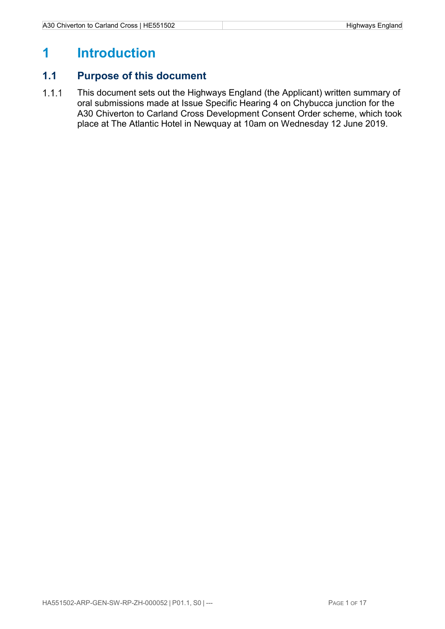### 1 Introduction

#### 1.1 Purpose of this document

1.1.1 This document sets out the Highways England (the Applicant) written summary of oral submissions made at Issue Specific Hearing 4 on Chybucca junction for the A30 Chiverton to Carland Cross Development Consent Order scheme, which took place at The Atlantic Hotel in Newquay at 10am on Wednesday 12 June 2019.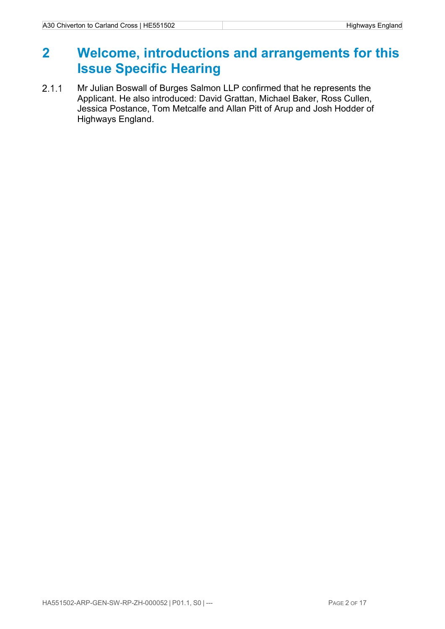### 2 Welcome, introductions and arrangements for this Issue Specific Hearing

2.1.1 Mr Julian Boswall of Burges Salmon LLP confirmed that he represents the Applicant. He also introduced: David Grattan, Michael Baker, Ross Cullen, Jessica Postance, Tom Metcalfe and Allan Pitt of Arup and Josh Hodder of Highways England.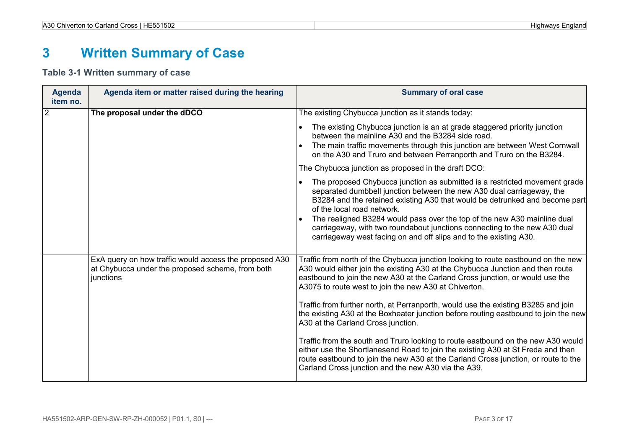# 3 Written Summary of Case

#### Table 3-1 Written summary of case

| Agenda<br>item no. | Agenda item or matter raised during the hearing                                                                         | <b>Summary of oral case</b>                                                                                                                                                                                                                                                                                                                                                                                                                                                                                                                                                                                                                                                                                                                                                                                                                         |
|--------------------|-------------------------------------------------------------------------------------------------------------------------|-----------------------------------------------------------------------------------------------------------------------------------------------------------------------------------------------------------------------------------------------------------------------------------------------------------------------------------------------------------------------------------------------------------------------------------------------------------------------------------------------------------------------------------------------------------------------------------------------------------------------------------------------------------------------------------------------------------------------------------------------------------------------------------------------------------------------------------------------------|
| $\overline{2}$     | The proposal under the dDCO                                                                                             | The existing Chybucca junction as it stands today:                                                                                                                                                                                                                                                                                                                                                                                                                                                                                                                                                                                                                                                                                                                                                                                                  |
|                    |                                                                                                                         | The existing Chybucca junction is an at grade staggered priority junction<br>between the mainline A30 and the B3284 side road.<br>The main traffic movements through this junction are between West Cornwall<br>on the A30 and Truro and between Perranporth and Truro on the B3284.                                                                                                                                                                                                                                                                                                                                                                                                                                                                                                                                                                |
|                    |                                                                                                                         | The Chybucca junction as proposed in the draft DCO:                                                                                                                                                                                                                                                                                                                                                                                                                                                                                                                                                                                                                                                                                                                                                                                                 |
|                    |                                                                                                                         | The proposed Chybucca junction as submitted is a restricted movement grade<br>separated dumbbell junction between the new A30 dual carriageway, the<br>B3284 and the retained existing A30 that would be detrunked and become part<br>of the local road network.<br>The realigned B3284 would pass over the top of the new A30 mainline dual<br>carriageway, with two roundabout junctions connecting to the new A30 dual<br>carriageway west facing on and off slips and to the existing A30.                                                                                                                                                                                                                                                                                                                                                      |
|                    | ExA query on how traffic would access the proposed A30<br>at Chybucca under the proposed scheme, from both<br>junctions | Traffic from north of the Chybucca junction looking to route eastbound on the new<br>A30 would either join the existing A30 at the Chybucca Junction and then route<br>eastbound to join the new A30 at the Carland Cross junction, or would use the<br>A3075 to route west to join the new A30 at Chiverton.<br>Traffic from further north, at Perranporth, would use the existing B3285 and join<br>the existing A30 at the Boxheater junction before routing eastbound to join the new<br>A30 at the Carland Cross junction.<br>Traffic from the south and Truro looking to route eastbound on the new A30 would<br>either use the Shortlanesend Road to join the existing A30 at St Freda and then<br>route eastbound to join the new A30 at the Carland Cross junction, or route to the<br>Carland Cross junction and the new A30 via the A39. |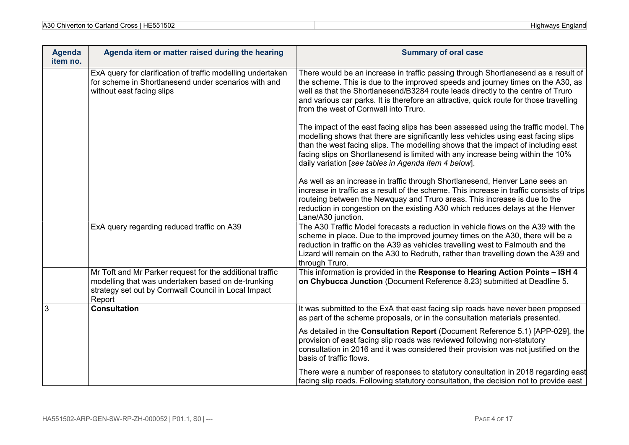| <b>Agenda</b><br>item no. | Agenda item or matter raised during the hearing                                                                                                                                  | <b>Summary of oral case</b>                                                                                                                                                                                                                                                                                                                                                                              |  |  |
|---------------------------|----------------------------------------------------------------------------------------------------------------------------------------------------------------------------------|----------------------------------------------------------------------------------------------------------------------------------------------------------------------------------------------------------------------------------------------------------------------------------------------------------------------------------------------------------------------------------------------------------|--|--|
|                           | ExA query for clarification of traffic modelling undertaken<br>for scheme in Shortlanesend under scenarios with and<br>without east facing slips                                 | There would be an increase in traffic passing through Shortlanesend as a result of<br>the scheme. This is due to the improved speeds and journey times on the A30, as<br>well as that the Shortlanesend/B3284 route leads directly to the centre of Truro<br>and various car parks. It is therefore an attractive, quick route for those travelling<br>from the west of Cornwall into Truro.             |  |  |
|                           |                                                                                                                                                                                  | The impact of the east facing slips has been assessed using the traffic model. The<br>modelling shows that there are significantly less vehicles using east facing slips<br>than the west facing slips. The modelling shows that the impact of including east<br>facing slips on Shortlanesend is limited with any increase being within the 10%<br>daily variation [see tables in Agenda item 4 below]. |  |  |
|                           |                                                                                                                                                                                  | As well as an increase in traffic through Shortlanesend, Henver Lane sees an<br>increase in traffic as a result of the scheme. This increase in traffic consists of trips<br>routeing between the Newquay and Truro areas. This increase is due to the<br>reduction in congestion on the existing A30 which reduces delays at the Henver<br>Lane/A30 junction.                                           |  |  |
|                           | ExA query regarding reduced traffic on A39                                                                                                                                       | The A30 Traffic Model forecasts a reduction in vehicle flows on the A39 with the<br>scheme in place. Due to the improved journey times on the A30, there will be a<br>reduction in traffic on the A39 as vehicles travelling west to Falmouth and the<br>Lizard will remain on the A30 to Redruth, rather than travelling down the A39 and<br>through Truro.                                             |  |  |
|                           | Mr Toft and Mr Parker request for the additional traffic<br>modelling that was undertaken based on de-trunking<br>strategy set out by Cornwall Council in Local Impact<br>Report | This information is provided in the Response to Hearing Action Points - ISH 4<br>on Chybucca Junction (Document Reference 8.23) submitted at Deadline 5.                                                                                                                                                                                                                                                 |  |  |
| 3                         | <b>Consultation</b>                                                                                                                                                              | It was submitted to the ExA that east facing slip roads have never been proposed<br>as part of the scheme proposals, or in the consultation materials presented.                                                                                                                                                                                                                                         |  |  |
|                           |                                                                                                                                                                                  | As detailed in the Consultation Report (Document Reference 5.1) [APP-029], the<br>provision of east facing slip roads was reviewed following non-statutory<br>consultation in 2016 and it was considered their provision was not justified on the<br>basis of traffic flows.                                                                                                                             |  |  |
|                           |                                                                                                                                                                                  | There were a number of responses to statutory consultation in 2018 regarding east<br>facing slip roads. Following statutory consultation, the decision not to provide east                                                                                                                                                                                                                               |  |  |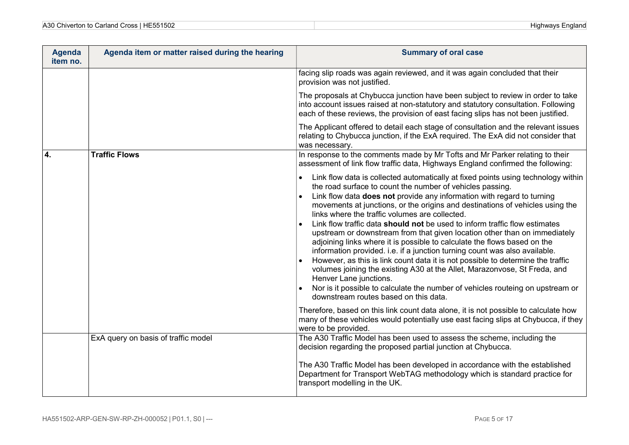| <b>Agenda</b><br>item no. | Agenda item or matter raised during the hearing | <b>Summary of oral case</b>                                                                                                                                                                                                                                                                                                                                                                                                                                                                                                                                                                                                                                                                                                                                                                                                                                                                                                                                                                           |  |  |
|---------------------------|-------------------------------------------------|-------------------------------------------------------------------------------------------------------------------------------------------------------------------------------------------------------------------------------------------------------------------------------------------------------------------------------------------------------------------------------------------------------------------------------------------------------------------------------------------------------------------------------------------------------------------------------------------------------------------------------------------------------------------------------------------------------------------------------------------------------------------------------------------------------------------------------------------------------------------------------------------------------------------------------------------------------------------------------------------------------|--|--|
|                           |                                                 | facing slip roads was again reviewed, and it was again concluded that their<br>provision was not justified.                                                                                                                                                                                                                                                                                                                                                                                                                                                                                                                                                                                                                                                                                                                                                                                                                                                                                           |  |  |
|                           |                                                 | The proposals at Chybucca junction have been subject to review in order to take<br>into account issues raised at non-statutory and statutory consultation. Following<br>each of these reviews, the provision of east facing slips has not been justified.                                                                                                                                                                                                                                                                                                                                                                                                                                                                                                                                                                                                                                                                                                                                             |  |  |
|                           |                                                 | The Applicant offered to detail each stage of consultation and the relevant issues<br>relating to Chybucca junction, if the ExA required. The ExA did not consider that<br>was necessary.                                                                                                                                                                                                                                                                                                                                                                                                                                                                                                                                                                                                                                                                                                                                                                                                             |  |  |
| $\overline{4}$ .          | <b>Traffic Flows</b>                            | In response to the comments made by Mr Tofts and Mr Parker relating to their<br>assessment of link flow traffic data, Highways England confirmed the following:                                                                                                                                                                                                                                                                                                                                                                                                                                                                                                                                                                                                                                                                                                                                                                                                                                       |  |  |
|                           |                                                 | Link flow data is collected automatically at fixed points using technology within<br>the road surface to count the number of vehicles passing.<br>Link flow data does not provide any information with regard to turning<br>movements at junctions, or the origins and destinations of vehicles using the<br>links where the traffic volumes are collected.<br>Link flow traffic data should not be used to inform traffic flow estimates<br>upstream or downstream from that given location other than on immediately<br>adjoining links where it is possible to calculate the flows based on the<br>information provided. i.e. if a junction turning count was also available.<br>However, as this is link count data it is not possible to determine the traffic<br>volumes joining the existing A30 at the Allet, Marazonvose, St Freda, and<br>Henver Lane junctions.<br>Nor is it possible to calculate the number of vehicles routeing on upstream or<br>downstream routes based on this data. |  |  |
|                           |                                                 | Therefore, based on this link count data alone, it is not possible to calculate how<br>many of these vehicles would potentially use east facing slips at Chybucca, if they<br>were to be provided.                                                                                                                                                                                                                                                                                                                                                                                                                                                                                                                                                                                                                                                                                                                                                                                                    |  |  |
|                           | ExA query on basis of traffic model             | The A30 Traffic Model has been used to assess the scheme, including the<br>decision regarding the proposed partial junction at Chybucca.                                                                                                                                                                                                                                                                                                                                                                                                                                                                                                                                                                                                                                                                                                                                                                                                                                                              |  |  |
|                           |                                                 | The A30 Traffic Model has been developed in accordance with the established<br>Department for Transport WebTAG methodology which is standard practice for<br>transport modelling in the UK.                                                                                                                                                                                                                                                                                                                                                                                                                                                                                                                                                                                                                                                                                                                                                                                                           |  |  |

**Highways England**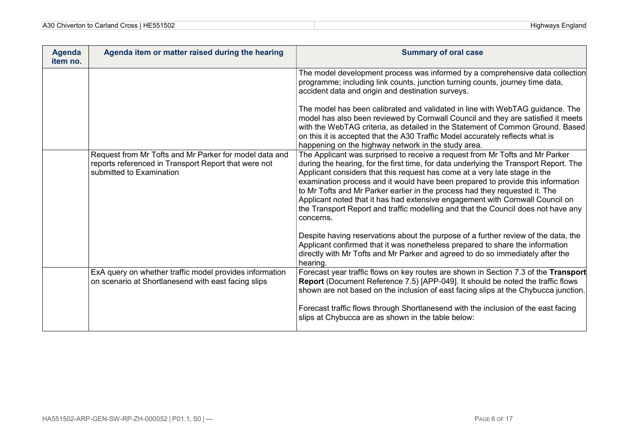| A30 Chiverton to Carland Cross   HE551502 |  |
|-------------------------------------------|--|
|-------------------------------------------|--|

| <b>Agenda</b><br>item no. | Agenda item or matter raised during the hearing                                                                                            | <b>Summary of oral case</b>                                                                                                                                                                                                                                                                                                                                                                                                                                                                                                                                                                              |
|---------------------------|--------------------------------------------------------------------------------------------------------------------------------------------|----------------------------------------------------------------------------------------------------------------------------------------------------------------------------------------------------------------------------------------------------------------------------------------------------------------------------------------------------------------------------------------------------------------------------------------------------------------------------------------------------------------------------------------------------------------------------------------------------------|
|                           |                                                                                                                                            | The model development process was informed by a comprehensive data collection<br>programme; including link counts, junction turning counts, journey time data,<br>accident data and origin and destination surveys.                                                                                                                                                                                                                                                                                                                                                                                      |
|                           |                                                                                                                                            | The model has been calibrated and validated in line with WebTAG guidance. The<br>model has also been reviewed by Cornwall Council and they are satisfied it meets<br>with the WebTAG criteria, as detailed in the Statement of Common Ground. Based<br>on this it is accepted that the A30 Traffic Model accurately reflects what is<br>happening on the highway network in the study area.                                                                                                                                                                                                              |
|                           | Request from Mr Tofts and Mr Parker for model data and<br>reports referenced in Transport Report that were not<br>submitted to Examination | The Applicant was surprised to receive a request from Mr Tofts and Mr Parker<br>during the hearing, for the first time, for data underlying the Transport Report. The<br>Applicant considers that this request has come at a very late stage in the<br>examination process and it would have been prepared to provide this information<br>to Mr Tofts and Mr Parker earlier in the process had they requested it. The<br>Applicant noted that it has had extensive engagement with Cornwall Council on<br>the Transport Report and traffic modelling and that the Council does not have any<br>concerns. |
|                           |                                                                                                                                            | Despite having reservations about the purpose of a further review of the data, the<br>Applicant confirmed that it was nonetheless prepared to share the information<br>directly with Mr Tofts and Mr Parker and agreed to do so immediately after the<br>hearing.                                                                                                                                                                                                                                                                                                                                        |
|                           | ExA query on whether traffic model provides information<br>on scenario at Shortlanesend with east facing slips                             | Forecast year traffic flows on key routes are shown in Section 7.3 of the Transport<br>Report (Document Reference 7.5) [APP-049]. It should be noted the traffic flows<br>shown are not based on the inclusion of east facing slips at the Chybucca junction.                                                                                                                                                                                                                                                                                                                                            |
|                           |                                                                                                                                            | Forecast traffic flows through Shortlanesend with the inclusion of the east facing<br>slips at Chybucca are as shown in the table below:                                                                                                                                                                                                                                                                                                                                                                                                                                                                 |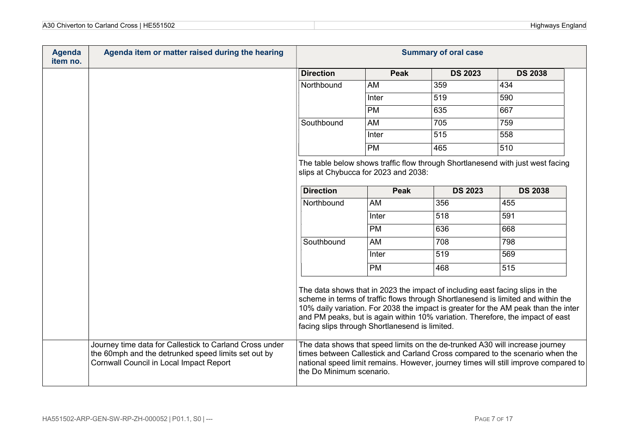| A30<br>HE551502<br>Carland Cross<br>∴hiverton ∵<br>$\sim$ | Highways<br>nglano. |
|-----------------------------------------------------------|---------------------|
|                                                           |                     |

| <b>Agenda</b><br>item no. | Agenda item or matter raised during the hearing                                                                                                           | <b>Summary of oral case</b> |                                                |                                                                              |                                                                                                                                                                                                                                                          |
|---------------------------|-----------------------------------------------------------------------------------------------------------------------------------------------------------|-----------------------------|------------------------------------------------|------------------------------------------------------------------------------|----------------------------------------------------------------------------------------------------------------------------------------------------------------------------------------------------------------------------------------------------------|
|                           |                                                                                                                                                           | <b>Direction</b>            | <b>Peak</b>                                    | <b>DS 2023</b>                                                               | <b>DS 2038</b>                                                                                                                                                                                                                                           |
|                           |                                                                                                                                                           | Northbound                  | AM                                             | 359                                                                          | 434                                                                                                                                                                                                                                                      |
|                           |                                                                                                                                                           |                             | Inter                                          | 519                                                                          | 590                                                                                                                                                                                                                                                      |
|                           |                                                                                                                                                           |                             | PM                                             | 635                                                                          | 667                                                                                                                                                                                                                                                      |
|                           |                                                                                                                                                           | Southbound                  | AM                                             | 705                                                                          | 759                                                                                                                                                                                                                                                      |
|                           |                                                                                                                                                           |                             | Inter                                          | 515                                                                          | 558                                                                                                                                                                                                                                                      |
|                           |                                                                                                                                                           |                             | <b>PM</b>                                      | 465                                                                          | 510                                                                                                                                                                                                                                                      |
|                           |                                                                                                                                                           | <b>Direction</b>            | slips at Chybucca for 2023 and 2038:<br>Peak   | <b>DS 2023</b>                                                               | The table below shows traffic flow through Shortlanesend with just west facing<br><b>DS 2038</b>                                                                                                                                                         |
|                           |                                                                                                                                                           | Northbound                  | AM                                             | 356                                                                          | 455                                                                                                                                                                                                                                                      |
|                           |                                                                                                                                                           |                             | Inter                                          | 518                                                                          | 591                                                                                                                                                                                                                                                      |
|                           |                                                                                                                                                           |                             | <b>PM</b>                                      |                                                                              | 668                                                                                                                                                                                                                                                      |
|                           |                                                                                                                                                           |                             |                                                | 636                                                                          |                                                                                                                                                                                                                                                          |
|                           |                                                                                                                                                           | Southbound                  | AM                                             | 708                                                                          | 798                                                                                                                                                                                                                                                      |
|                           |                                                                                                                                                           |                             | Inter                                          | 519                                                                          | 569                                                                                                                                                                                                                                                      |
|                           |                                                                                                                                                           |                             | <b>PM</b>                                      | 468                                                                          | 515                                                                                                                                                                                                                                                      |
|                           |                                                                                                                                                           |                             | facing slips through Shortlanesend is limited. | The data shows that in 2023 the impact of including east facing slips in the | scheme in terms of traffic flows through Shortlanesend is limited and within the<br>10% daily variation. For 2038 the impact is greater for the AM peak than the inter<br>and PM peaks, but is again within 10% variation. Therefore, the impact of east |
|                           | Journey time data for Callestick to Carland Cross under<br>the 60mph and the detrunked speed limits set out by<br>Cornwall Council in Local Impact Report | the Do Minimum scenario.    |                                                |                                                                              | The data shows that speed limits on the de-trunked A30 will increase journey<br>times between Callestick and Carland Cross compared to the scenario when the<br>national speed limit remains. However, journey times will still improve compared to      |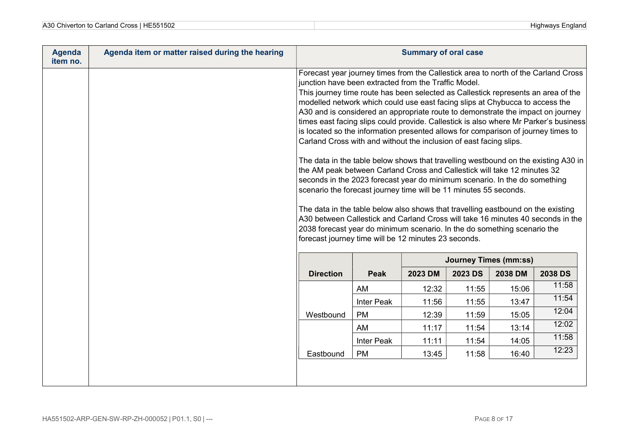| A30 Chiverton to Carland Cross   HE551502 |  |
|-------------------------------------------|--|
|-------------------------------------------|--|

| <b>Agenda</b><br>item no. | Agenda item or matter raised during the hearing |                                                                                                                                                                                                                                                                                                                                                                                                                                                                                                                                                                                                                                                                                                                                                                                                                                                                                                                                                                                                                                                                                                                                                                                                                                                                                       | <b>Summary of oral case</b> |         |                |                              |                |
|---------------------------|-------------------------------------------------|---------------------------------------------------------------------------------------------------------------------------------------------------------------------------------------------------------------------------------------------------------------------------------------------------------------------------------------------------------------------------------------------------------------------------------------------------------------------------------------------------------------------------------------------------------------------------------------------------------------------------------------------------------------------------------------------------------------------------------------------------------------------------------------------------------------------------------------------------------------------------------------------------------------------------------------------------------------------------------------------------------------------------------------------------------------------------------------------------------------------------------------------------------------------------------------------------------------------------------------------------------------------------------------|-----------------------------|---------|----------------|------------------------------|----------------|
|                           |                                                 | Forecast year journey times from the Callestick area to north of the Carland Cross<br>junction have been extracted from the Traffic Model.<br>This journey time route has been selected as Callestick represents an area of the<br>modelled network which could use east facing slips at Chybucca to access the<br>A30 and is considered an appropriate route to demonstrate the impact on journey<br>times east facing slips could provide. Callestick is also where Mr Parker's business<br>is located so the information presented allows for comparison of journey times to<br>Carland Cross with and without the inclusion of east facing slips.<br>The data in the table below shows that travelling westbound on the existing A30 in<br>the AM peak between Carland Cross and Callestick will take 12 minutes 32<br>seconds in the 2023 forecast year do minimum scenario. In the do something<br>scenario the forecast journey time will be 11 minutes 55 seconds.<br>The data in the table below also shows that travelling eastbound on the existing<br>A30 between Callestick and Carland Cross will take 16 minutes 40 seconds in the<br>2038 forecast year do minimum scenario. In the do something scenario the<br>forecast journey time will be 12 minutes 23 seconds. |                             |         |                |                              |                |
|                           |                                                 |                                                                                                                                                                                                                                                                                                                                                                                                                                                                                                                                                                                                                                                                                                                                                                                                                                                                                                                                                                                                                                                                                                                                                                                                                                                                                       |                             |         |                | <b>Journey Times (mm:ss)</b> |                |
|                           |                                                 | <b>Direction</b>                                                                                                                                                                                                                                                                                                                                                                                                                                                                                                                                                                                                                                                                                                                                                                                                                                                                                                                                                                                                                                                                                                                                                                                                                                                                      | <b>Peak</b>                 | 2023 DM | <b>2023 DS</b> | 2038 DM                      | <b>2038 DS</b> |
|                           |                                                 |                                                                                                                                                                                                                                                                                                                                                                                                                                                                                                                                                                                                                                                                                                                                                                                                                                                                                                                                                                                                                                                                                                                                                                                                                                                                                       | AM                          | 12:32   | 11:55          | 15:06                        | 11:58          |
|                           |                                                 |                                                                                                                                                                                                                                                                                                                                                                                                                                                                                                                                                                                                                                                                                                                                                                                                                                                                                                                                                                                                                                                                                                                                                                                                                                                                                       | <b>Inter Peak</b>           | 11:56   | 11:55          | 13:47                        | 11:54          |
|                           |                                                 | Westbound                                                                                                                                                                                                                                                                                                                                                                                                                                                                                                                                                                                                                                                                                                                                                                                                                                                                                                                                                                                                                                                                                                                                                                                                                                                                             | <b>PM</b>                   | 12:39   | 11:59          | 15:05                        | 12:04          |
|                           |                                                 |                                                                                                                                                                                                                                                                                                                                                                                                                                                                                                                                                                                                                                                                                                                                                                                                                                                                                                                                                                                                                                                                                                                                                                                                                                                                                       | AM                          | 11:17   | 11:54          | 13:14                        | 12:02          |
|                           |                                                 |                                                                                                                                                                                                                                                                                                                                                                                                                                                                                                                                                                                                                                                                                                                                                                                                                                                                                                                                                                                                                                                                                                                                                                                                                                                                                       | <b>Inter Peak</b>           | 11:11   | 11:54          | 14:05                        | 11:58          |
|                           |                                                 | Eastbound                                                                                                                                                                                                                                                                                                                                                                                                                                                                                                                                                                                                                                                                                                                                                                                                                                                                                                                                                                                                                                                                                                                                                                                                                                                                             | <b>PM</b>                   | 13:45   | 11:58          | 16:40                        | 12:23          |
|                           |                                                 |                                                                                                                                                                                                                                                                                                                                                                                                                                                                                                                                                                                                                                                                                                                                                                                                                                                                                                                                                                                                                                                                                                                                                                                                                                                                                       |                             |         |                |                              |                |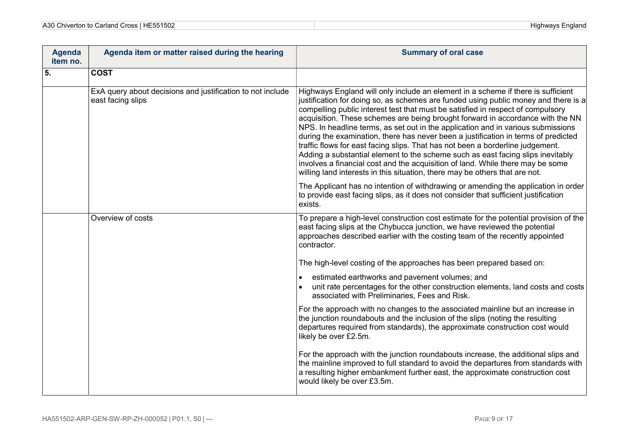| A30 Chiverton to Carland Cross   HE551502 |  |
|-------------------------------------------|--|
|-------------------------------------------|--|

| <b>Agenda</b><br>item no. | Agenda item or matter raised during the hearing                                 | <b>Summary of oral case</b>                                                                                                                                                                                                                                                                                                                                                                                                                                                                                                                                                                                                                                                                                                                                                                                                                                  |
|---------------------------|---------------------------------------------------------------------------------|--------------------------------------------------------------------------------------------------------------------------------------------------------------------------------------------------------------------------------------------------------------------------------------------------------------------------------------------------------------------------------------------------------------------------------------------------------------------------------------------------------------------------------------------------------------------------------------------------------------------------------------------------------------------------------------------------------------------------------------------------------------------------------------------------------------------------------------------------------------|
| 5.                        | <b>COST</b>                                                                     |                                                                                                                                                                                                                                                                                                                                                                                                                                                                                                                                                                                                                                                                                                                                                                                                                                                              |
|                           | ExA query about decisions and justification to not include<br>east facing slips | Highways England will only include an element in a scheme if there is sufficient<br>justification for doing so, as schemes are funded using public money and there is a<br>compelling public interest test that must be satisfied in respect of compulsory<br>acquisition. These schemes are being brought forward in accordance with the NN<br>NPS. In headline terms, as set out in the application and in various submissions<br>during the examination, there has never been a justification in terms of predicted<br>traffic flows for east facing slips. That has not been a borderline judgement.<br>Adding a substantial element to the scheme such as east facing slips inevitably<br>involves a financial cost and the acquisition of land. While there may be some<br>willing land interests in this situation, there may be others that are not. |
|                           |                                                                                 | The Applicant has no intention of withdrawing or amending the application in order<br>to provide east facing slips, as it does not consider that sufficient justification<br>exists.                                                                                                                                                                                                                                                                                                                                                                                                                                                                                                                                                                                                                                                                         |
|                           | Overview of costs                                                               | To prepare a high-level construction cost estimate for the potential provision of the<br>east facing slips at the Chybucca junction, we have reviewed the potential<br>approaches described earlier with the costing team of the recently appointed<br>contractor.                                                                                                                                                                                                                                                                                                                                                                                                                                                                                                                                                                                           |
|                           |                                                                                 | The high-level costing of the approaches has been prepared based on:                                                                                                                                                                                                                                                                                                                                                                                                                                                                                                                                                                                                                                                                                                                                                                                         |
|                           |                                                                                 | estimated earthworks and pavement volumes; and<br>unit rate percentages for the other construction elements, land costs and costs<br>associated with Preliminaries, Fees and Risk.                                                                                                                                                                                                                                                                                                                                                                                                                                                                                                                                                                                                                                                                           |
|                           |                                                                                 | For the approach with no changes to the associated mainline but an increase in<br>the junction roundabouts and the inclusion of the slips (noting the resulting<br>departures required from standards), the approximate construction cost would<br>likely be over £2.5m.                                                                                                                                                                                                                                                                                                                                                                                                                                                                                                                                                                                     |
|                           |                                                                                 | For the approach with the junction roundabouts increase, the additional slips and<br>the mainline improved to full standard to avoid the departures from standards with<br>a resulting higher embankment further east, the approximate construction cost<br>would likely be over £3.5m.                                                                                                                                                                                                                                                                                                                                                                                                                                                                                                                                                                      |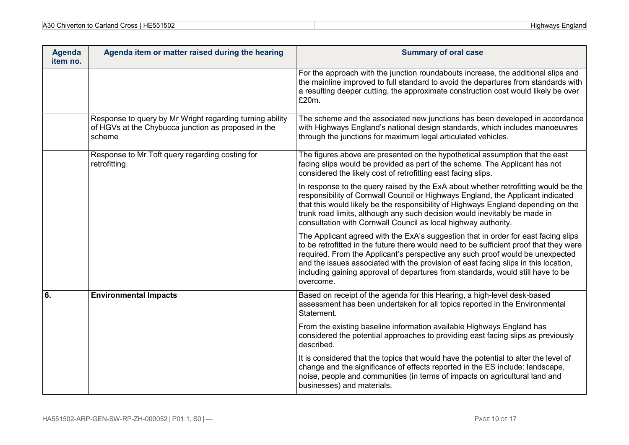| A30<br>HE551502<br>Cross '<br>າ to Carland<br>`hivarton<br><b>UNIVERUIT</b> | Highwavs<br>·ngland |
|-----------------------------------------------------------------------------|---------------------|
|-----------------------------------------------------------------------------|---------------------|

| <b>Agenda</b><br>item no. | Agenda item or matter raised during the hearing                                                                           | <b>Summary of oral case</b>                                                                                                                                                                                                                                                                                                                                                                                                                          |
|---------------------------|---------------------------------------------------------------------------------------------------------------------------|------------------------------------------------------------------------------------------------------------------------------------------------------------------------------------------------------------------------------------------------------------------------------------------------------------------------------------------------------------------------------------------------------------------------------------------------------|
|                           |                                                                                                                           | For the approach with the junction roundabouts increase, the additional slips and<br>the mainline improved to full standard to avoid the departures from standards with<br>a resulting deeper cutting, the approximate construction cost would likely be over<br>£20m.                                                                                                                                                                               |
|                           | Response to query by Mr Wright regarding turning ability<br>of HGVs at the Chybucca junction as proposed in the<br>scheme | The scheme and the associated new junctions has been developed in accordance<br>with Highways England's national design standards, which includes manoeuvres<br>through the junctions for maximum legal articulated vehicles.                                                                                                                                                                                                                        |
|                           | Response to Mr Toft query regarding costing for<br>retrofitting.                                                          | The figures above are presented on the hypothetical assumption that the east<br>facing slips would be provided as part of the scheme. The Applicant has not<br>considered the likely cost of retrofitting east facing slips.                                                                                                                                                                                                                         |
|                           |                                                                                                                           | In response to the query raised by the ExA about whether retrofitting would be the<br>responsibility of Cornwall Council or Highways England, the Applicant indicated<br>that this would likely be the responsibility of Highways England depending on the<br>trunk road limits, although any such decision would inevitably be made in<br>consultation with Cornwall Council as local highway authority.                                            |
|                           |                                                                                                                           | The Applicant agreed with the ExA's suggestion that in order for east facing slips<br>to be retrofitted in the future there would need to be sufficient proof that they were<br>required. From the Applicant's perspective any such proof would be unexpected<br>and the issues associated with the provision of east facing slips in this location,<br>including gaining approval of departures from standards, would still have to be<br>overcome. |
| $\overline{6}$ .          | <b>Environmental Impacts</b>                                                                                              | Based on receipt of the agenda for this Hearing, a high-level desk-based<br>assessment has been undertaken for all topics reported in the Environmental<br>Statement.                                                                                                                                                                                                                                                                                |
|                           |                                                                                                                           | From the existing baseline information available Highways England has<br>considered the potential approaches to providing east facing slips as previously<br>described.                                                                                                                                                                                                                                                                              |
|                           |                                                                                                                           | It is considered that the topics that would have the potential to alter the level of<br>change and the significance of effects reported in the ES include: landscape,<br>noise, people and communities (in terms of impacts on agricultural land and<br>businesses) and materials.                                                                                                                                                                   |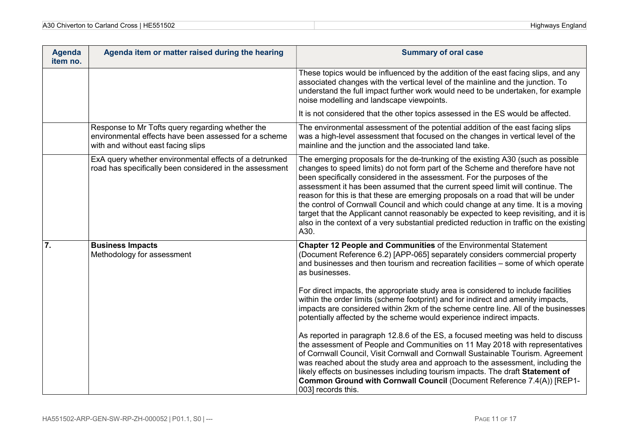| <b>Agenda</b><br>item no. | Agenda item or matter raised during the hearing                                                                                                 | <b>Summary of oral case</b>                                                                                                                                                                                                                                                                                                                                                                                                                                                                                                                                                                                                                                                                                                                                         |
|---------------------------|-------------------------------------------------------------------------------------------------------------------------------------------------|---------------------------------------------------------------------------------------------------------------------------------------------------------------------------------------------------------------------------------------------------------------------------------------------------------------------------------------------------------------------------------------------------------------------------------------------------------------------------------------------------------------------------------------------------------------------------------------------------------------------------------------------------------------------------------------------------------------------------------------------------------------------|
|                           |                                                                                                                                                 | These topics would be influenced by the addition of the east facing slips, and any<br>associated changes with the vertical level of the mainline and the junction. To<br>understand the full impact further work would need to be undertaken, for example<br>noise modelling and landscape viewpoints.                                                                                                                                                                                                                                                                                                                                                                                                                                                              |
|                           |                                                                                                                                                 | It is not considered that the other topics assessed in the ES would be affected.                                                                                                                                                                                                                                                                                                                                                                                                                                                                                                                                                                                                                                                                                    |
|                           | Response to Mr Tofts query regarding whether the<br>environmental effects have been assessed for a scheme<br>with and without east facing slips | The environmental assessment of the potential addition of the east facing slips<br>was a high-level assessment that focused on the changes in vertical level of the<br>mainline and the junction and the associated land take.                                                                                                                                                                                                                                                                                                                                                                                                                                                                                                                                      |
|                           | ExA query whether environmental effects of a detrunked<br>road has specifically been considered in the assessment                               | The emerging proposals for the de-trunking of the existing A30 (such as possible<br>changes to speed limits) do not form part of the Scheme and therefore have not<br>been specifically considered in the assessment. For the purposes of the<br>assessment it has been assumed that the current speed limit will continue. The<br>reason for this is that these are emerging proposals on a road that will be under<br>the control of Cornwall Council and which could change at any time. It is a moving<br>target that the Applicant cannot reasonably be expected to keep revisiting, and it is<br>also in the context of a very substantial predicted reduction in traffic on the existing<br>A30.                                                             |
| 7.                        | <b>Business Impacts</b><br>Methodology for assessment                                                                                           | Chapter 12 People and Communities of the Environmental Statement<br>(Document Reference 6.2) [APP-065] separately considers commercial property<br>and businesses and then tourism and recreation facilities - some of which operate<br>as businesses.<br>For direct impacts, the appropriate study area is considered to include facilities<br>within the order limits (scheme footprint) and for indirect and amenity impacts,<br>impacts are considered within 2km of the scheme centre line. All of the businesses<br>potentially affected by the scheme would experience indirect impacts.<br>As reported in paragraph 12.8.6 of the ES, a focused meeting was held to discuss<br>the assessment of People and Communities on 11 May 2018 with representatives |
|                           |                                                                                                                                                 | of Cornwall Council, Visit Cornwall and Cornwall Sustainable Tourism. Agreement<br>was reached about the study area and approach to the assessment, including the<br>likely effects on businesses including tourism impacts. The draft Statement of<br>Common Ground with Cornwall Council (Document Reference 7.4(A)) [REP1-<br>003] records this.                                                                                                                                                                                                                                                                                                                                                                                                                 |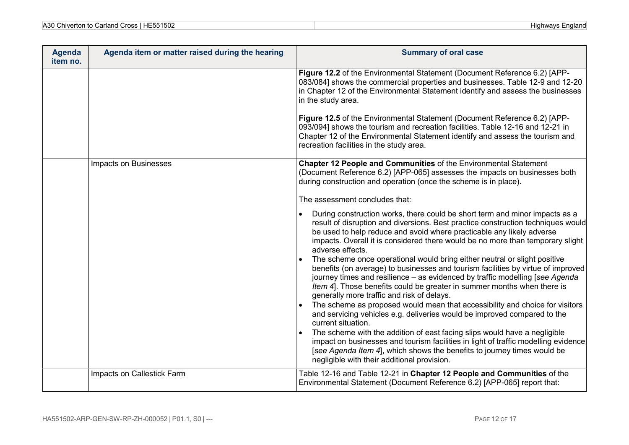| A30<br>4.500<br>$\sim$<br>`ross<br>5161<br>Univerton to<br>Carland<br>⊣⊢∗<br>$\mathbf{r}$<br>1 JUZ<br>w | Highways<br>-nglanc |
|---------------------------------------------------------------------------------------------------------|---------------------|
|---------------------------------------------------------------------------------------------------------|---------------------|

| <b>Agenda</b><br>item no. | Agenda item or matter raised during the hearing | <b>Summary of oral case</b>                                                                                                                                                                                                                                                                                                                                            |
|---------------------------|-------------------------------------------------|------------------------------------------------------------------------------------------------------------------------------------------------------------------------------------------------------------------------------------------------------------------------------------------------------------------------------------------------------------------------|
|                           |                                                 | Figure 12.2 of the Environmental Statement (Document Reference 6.2) [APP-<br>083/084] shows the commercial properties and businesses. Table 12-9 and 12-20<br>in Chapter 12 of the Environmental Statement identify and assess the businesses<br>in the study area.                                                                                                    |
|                           |                                                 | Figure 12.5 of the Environmental Statement (Document Reference 6.2) [APP-<br>093/094] shows the tourism and recreation facilities. Table 12-16 and 12-21 in<br>Chapter 12 of the Environmental Statement identify and assess the tourism and<br>recreation facilities in the study area.                                                                               |
|                           | Impacts on Businesses                           | Chapter 12 People and Communities of the Environmental Statement<br>(Document Reference 6.2) [APP-065] assesses the impacts on businesses both<br>during construction and operation (once the scheme is in place).                                                                                                                                                     |
|                           |                                                 | The assessment concludes that:                                                                                                                                                                                                                                                                                                                                         |
|                           |                                                 | During construction works, there could be short term and minor impacts as a<br>result of disruption and diversions. Best practice construction techniques would<br>be used to help reduce and avoid where practicable any likely adverse<br>impacts. Overall it is considered there would be no more than temporary slight<br>adverse effects.                         |
|                           |                                                 | The scheme once operational would bring either neutral or slight positive<br>benefits (on average) to businesses and tourism facilities by virtue of improved<br>journey times and resilience - as evidenced by traffic modelling [see Agenda<br>Item 4]. Those benefits could be greater in summer months when there is<br>generally more traffic and risk of delays. |
|                           |                                                 | The scheme as proposed would mean that accessibility and choice for visitors<br>and servicing vehicles e.g. deliveries would be improved compared to the<br>current situation.                                                                                                                                                                                         |
|                           |                                                 | The scheme with the addition of east facing slips would have a negligible<br>impact on businesses and tourism facilities in light of traffic modelling evidence<br>[see Agenda Item 4], which shows the benefits to journey times would be<br>negligible with their additional provision.                                                                              |
|                           | Impacts on Callestick Farm                      | Table 12-16 and Table 12-21 in Chapter 12 People and Communities of the<br>Environmental Statement (Document Reference 6.2) [APP-065] report that:                                                                                                                                                                                                                     |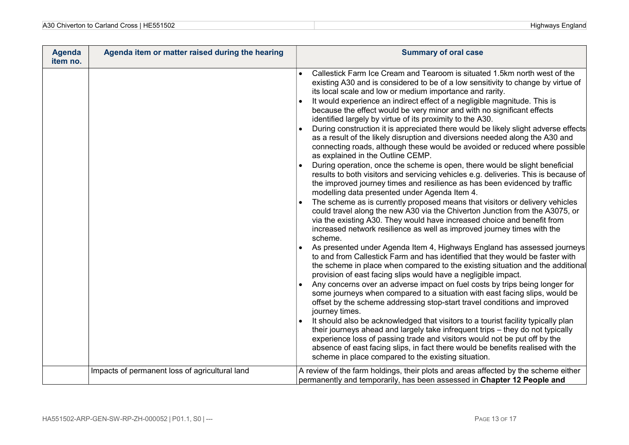| A30 Chiverton to Carland Cross   HE551502 |  |
|-------------------------------------------|--|
|-------------------------------------------|--|

| <b>Agenda</b><br>item no. | Agenda item or matter raised during the hearing | <b>Summary of oral case</b>                                                                                                                                                                                                                                                                                                                                                                                                                                                                                                                                                                                                                                                                                                                                                                                                                                                                                                                                                                                                                                                                                                                                                                                                                                                                                                                                                                                                                                                                                                                                                                                                                                                                                                                                                                                                                                                                                                                                                                                                                                                                                                                                                                                                                                                                                                                               |
|---------------------------|-------------------------------------------------|-----------------------------------------------------------------------------------------------------------------------------------------------------------------------------------------------------------------------------------------------------------------------------------------------------------------------------------------------------------------------------------------------------------------------------------------------------------------------------------------------------------------------------------------------------------------------------------------------------------------------------------------------------------------------------------------------------------------------------------------------------------------------------------------------------------------------------------------------------------------------------------------------------------------------------------------------------------------------------------------------------------------------------------------------------------------------------------------------------------------------------------------------------------------------------------------------------------------------------------------------------------------------------------------------------------------------------------------------------------------------------------------------------------------------------------------------------------------------------------------------------------------------------------------------------------------------------------------------------------------------------------------------------------------------------------------------------------------------------------------------------------------------------------------------------------------------------------------------------------------------------------------------------------------------------------------------------------------------------------------------------------------------------------------------------------------------------------------------------------------------------------------------------------------------------------------------------------------------------------------------------------------------------------------------------------------------------------------------------------|
|                           |                                                 | Callestick Farm Ice Cream and Tearoom is situated 1.5km north west of the<br>existing A30 and is considered to be of a low sensitivity to change by virtue of<br>its local scale and low or medium importance and rarity.<br>It would experience an indirect effect of a negligible magnitude. This is<br>because the effect would be very minor and with no significant effects<br>identified largely by virtue of its proximity to the A30.<br>During construction it is appreciated there would be likely slight adverse effects<br>as a result of the likely disruption and diversions needed along the A30 and<br>connecting roads, although these would be avoided or reduced where possible<br>as explained in the Outline CEMP.<br>During operation, once the scheme is open, there would be slight beneficial<br>results to both visitors and servicing vehicles e.g. deliveries. This is because of<br>the improved journey times and resilience as has been evidenced by traffic<br>modelling data presented under Agenda Item 4.<br>The scheme as is currently proposed means that visitors or delivery vehicles<br>could travel along the new A30 via the Chiverton Junction from the A3075, or<br>via the existing A30. They would have increased choice and benefit from<br>increased network resilience as well as improved journey times with the<br>scheme.<br>As presented under Agenda Item 4, Highways England has assessed journeys<br>to and from Callestick Farm and has identified that they would be faster with<br>the scheme in place when compared to the existing situation and the additional<br>provision of east facing slips would have a negligible impact.<br>Any concerns over an adverse impact on fuel costs by trips being longer for<br>some journeys when compared to a situation with east facing slips, would be<br>offset by the scheme addressing stop-start travel conditions and improved<br>journey times.<br>It should also be acknowledged that visitors to a tourist facility typically plan<br>their journeys ahead and largely take infrequent trips - they do not typically<br>experience loss of passing trade and visitors would not be put off by the<br>absence of east facing slips, in fact there would be benefits realised with the<br>scheme in place compared to the existing situation. |
|                           | Impacts of permanent loss of agricultural land  | A review of the farm holdings, their plots and areas affected by the scheme either<br>permanently and temporarily, has been assessed in Chapter 12 People and                                                                                                                                                                                                                                                                                                                                                                                                                                                                                                                                                                                                                                                                                                                                                                                                                                                                                                                                                                                                                                                                                                                                                                                                                                                                                                                                                                                                                                                                                                                                                                                                                                                                                                                                                                                                                                                                                                                                                                                                                                                                                                                                                                                             |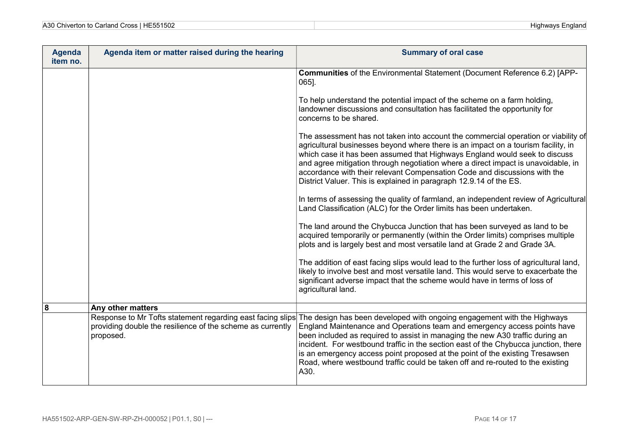| HE551502<br>A30<br>$\sim$<br>Cross ⊟<br>Highwavs<br>∙nglano<br>⊦Chiverton to Carland ( |
|----------------------------------------------------------------------------------------|
|----------------------------------------------------------------------------------------|

| <b>Agenda</b><br>item no. | Agenda item or matter raised during the hearing                                                                                       | <b>Summary of oral case</b>                                                                                                                                                                                                                                                                                                                                                                                                                                                                           |
|---------------------------|---------------------------------------------------------------------------------------------------------------------------------------|-------------------------------------------------------------------------------------------------------------------------------------------------------------------------------------------------------------------------------------------------------------------------------------------------------------------------------------------------------------------------------------------------------------------------------------------------------------------------------------------------------|
|                           |                                                                                                                                       | Communities of the Environmental Statement (Document Reference 6.2) [APP-<br>$065$ ].                                                                                                                                                                                                                                                                                                                                                                                                                 |
|                           |                                                                                                                                       | To help understand the potential impact of the scheme on a farm holding,<br>landowner discussions and consultation has facilitated the opportunity for<br>concerns to be shared.                                                                                                                                                                                                                                                                                                                      |
|                           |                                                                                                                                       | The assessment has not taken into account the commercial operation or viability of<br>agricultural businesses beyond where there is an impact on a tourism facility, in<br>which case it has been assumed that Highways England would seek to discuss<br>and agree mitigation through negotiation where a direct impact is unavoidable, in<br>accordance with their relevant Compensation Code and discussions with the<br>District Valuer. This is explained in paragraph 12.9.14 of the ES.         |
|                           |                                                                                                                                       | In terms of assessing the quality of farmland, an independent review of Agricultural<br>Land Classification (ALC) for the Order limits has been undertaken.                                                                                                                                                                                                                                                                                                                                           |
|                           |                                                                                                                                       | The land around the Chybucca Junction that has been surveyed as land to be<br>acquired temporarily or permanently (within the Order limits) comprises multiple<br>plots and is largely best and most versatile land at Grade 2 and Grade 3A.                                                                                                                                                                                                                                                          |
|                           |                                                                                                                                       | The addition of east facing slips would lead to the further loss of agricultural land,<br>likely to involve best and most versatile land. This would serve to exacerbate the<br>significant adverse impact that the scheme would have in terms of loss of<br>agricultural land.                                                                                                                                                                                                                       |
| 8                         | Any other matters                                                                                                                     |                                                                                                                                                                                                                                                                                                                                                                                                                                                                                                       |
|                           | Response to Mr Tofts statement regarding east facing slips<br>providing double the resilience of the scheme as currently<br>proposed. | The design has been developed with ongoing engagement with the Highways<br>England Maintenance and Operations team and emergency access points have<br>been included as required to assist in managing the new A30 traffic during an<br>incident. For westbound traffic in the section east of the Chybucca junction, there<br>is an emergency access point proposed at the point of the existing Tresawsen<br>Road, where westbound traffic could be taken off and re-routed to the existing<br>A30. |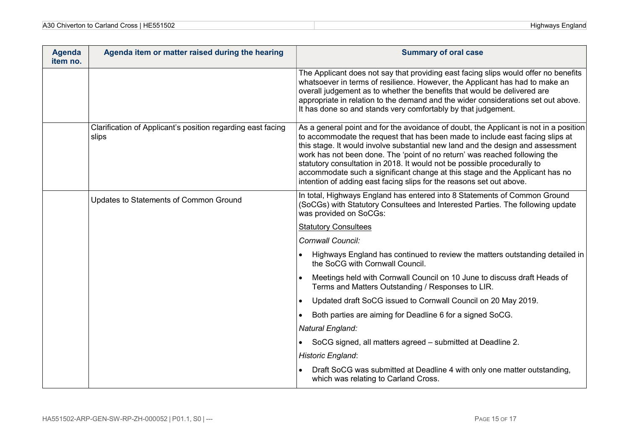| A30 Chiverton to Carland Cross   HE551502 |  |
|-------------------------------------------|--|
|-------------------------------------------|--|

| <b>Agenda</b><br>item no. | Agenda item or matter raised during the hearing                      | <b>Summary of oral case</b>                                                                                                                                                                                                                                                                                                                                                                                                                                                                                                                                                 |
|---------------------------|----------------------------------------------------------------------|-----------------------------------------------------------------------------------------------------------------------------------------------------------------------------------------------------------------------------------------------------------------------------------------------------------------------------------------------------------------------------------------------------------------------------------------------------------------------------------------------------------------------------------------------------------------------------|
|                           |                                                                      | The Applicant does not say that providing east facing slips would offer no benefits<br>whatsoever in terms of resilience. However, the Applicant has had to make an<br>overall judgement as to whether the benefits that would be delivered are<br>appropriate in relation to the demand and the wider considerations set out above.<br>It has done so and stands very comfortably by that judgement.                                                                                                                                                                       |
|                           | Clarification of Applicant's position regarding east facing<br>slips | As a general point and for the avoidance of doubt, the Applicant is not in a position<br>to accommodate the request that has been made to include east facing slips at<br>this stage. It would involve substantial new land and the design and assessment<br>work has not been done. The 'point of no return' was reached following the<br>statutory consultation in 2018. It would not be possible procedurally to<br>accommodate such a significant change at this stage and the Applicant has no<br>intention of adding east facing slips for the reasons set out above. |
|                           | Updates to Statements of Common Ground                               | In total, Highways England has entered into 8 Statements of Common Ground<br>(SoCGs) with Statutory Consultees and Interested Parties. The following update<br>was provided on SoCGs:                                                                                                                                                                                                                                                                                                                                                                                       |
|                           |                                                                      | <b>Statutory Consultees</b>                                                                                                                                                                                                                                                                                                                                                                                                                                                                                                                                                 |
|                           |                                                                      | Cornwall Council:                                                                                                                                                                                                                                                                                                                                                                                                                                                                                                                                                           |
|                           |                                                                      | Highways England has continued to review the matters outstanding detailed in<br>the SoCG with Cornwall Council.                                                                                                                                                                                                                                                                                                                                                                                                                                                             |
|                           |                                                                      | Meetings held with Cornwall Council on 10 June to discuss draft Heads of<br>Terms and Matters Outstanding / Responses to LIR.                                                                                                                                                                                                                                                                                                                                                                                                                                               |
|                           |                                                                      | Updated draft SoCG issued to Cornwall Council on 20 May 2019.<br>$\bullet$                                                                                                                                                                                                                                                                                                                                                                                                                                                                                                  |
|                           |                                                                      | Both parties are aiming for Deadline 6 for a signed SoCG.<br>$\bullet$                                                                                                                                                                                                                                                                                                                                                                                                                                                                                                      |
|                           |                                                                      | Natural England:                                                                                                                                                                                                                                                                                                                                                                                                                                                                                                                                                            |
|                           |                                                                      | SoCG signed, all matters agreed - submitted at Deadline 2.<br>$\bullet$                                                                                                                                                                                                                                                                                                                                                                                                                                                                                                     |
|                           |                                                                      | Historic England:                                                                                                                                                                                                                                                                                                                                                                                                                                                                                                                                                           |
|                           |                                                                      | Draft SoCG was submitted at Deadline 4 with only one matter outstanding,<br>which was relating to Carland Cross.                                                                                                                                                                                                                                                                                                                                                                                                                                                            |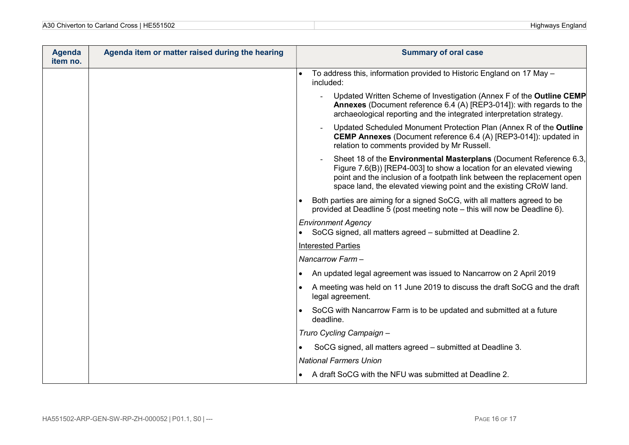| A30 Chiverton to Carland Cross   HE551502 | ⊢ngland⊦<br>Highways |
|-------------------------------------------|----------------------|
|-------------------------------------------|----------------------|

| <b>Agenda</b><br>item no. | Agenda item or matter raised during the hearing | <b>Summary of oral case</b>                                                                                                                                                                                                                                                                 |
|---------------------------|-------------------------------------------------|---------------------------------------------------------------------------------------------------------------------------------------------------------------------------------------------------------------------------------------------------------------------------------------------|
|                           |                                                 | To address this, information provided to Historic England on 17 May -<br>included:                                                                                                                                                                                                          |
|                           |                                                 | Updated Written Scheme of Investigation (Annex F of the Outline CEMP<br>Annexes (Document reference 6.4 (A) [REP3-014]): with regards to the<br>archaeological reporting and the integrated interpretation strategy.                                                                        |
|                           |                                                 | Updated Scheduled Monument Protection Plan (Annex R of the Outline<br><b>CEMP Annexes</b> (Document reference 6.4 (A) [REP3-014]): updated in<br>relation to comments provided by Mr Russell.                                                                                               |
|                           |                                                 | Sheet 18 of the Environmental Masterplans (Document Reference 6.3,<br>Figure 7.6(B)) [REP4-003] to show a location for an elevated viewing<br>point and the inclusion of a footpath link between the replacement open<br>space land, the elevated viewing point and the existing CRoW land. |
|                           |                                                 | Both parties are aiming for a signed SoCG, with all matters agreed to be<br>provided at Deadline 5 (post meeting note – this will now be Deadline 6).                                                                                                                                       |
|                           |                                                 | <b>Environment Agency</b><br>SoCG signed, all matters agreed - submitted at Deadline 2.                                                                                                                                                                                                     |
|                           |                                                 | <b>Interested Parties</b>                                                                                                                                                                                                                                                                   |
|                           |                                                 | Nancarrow Farm-                                                                                                                                                                                                                                                                             |
|                           |                                                 | An updated legal agreement was issued to Nancarrow on 2 April 2019<br>$\bullet$                                                                                                                                                                                                             |
|                           |                                                 | A meeting was held on 11 June 2019 to discuss the draft SoCG and the draft<br>legal agreement.                                                                                                                                                                                              |
|                           |                                                 | SoCG with Nancarrow Farm is to be updated and submitted at a future<br>deadline.                                                                                                                                                                                                            |
|                           |                                                 | Truro Cycling Campaign -                                                                                                                                                                                                                                                                    |
|                           |                                                 | SoCG signed, all matters agreed - submitted at Deadline 3.                                                                                                                                                                                                                                  |
|                           |                                                 | <b>National Farmers Union</b>                                                                                                                                                                                                                                                               |
|                           |                                                 | A draft SoCG with the NFU was submitted at Deadline 2.<br>$\bullet$                                                                                                                                                                                                                         |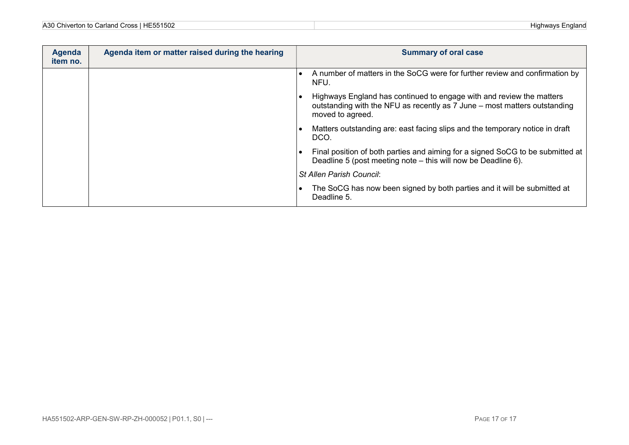| A30 Chiverton to Carland Cross | Highwavs |
|--------------------------------|----------|
| E551502                        | ≘nɑland  |

| <b>Agenda</b><br>item no. | Agenda item or matter raised during the hearing | <b>Summary of oral case</b>                                                                                                                                           |
|---------------------------|-------------------------------------------------|-----------------------------------------------------------------------------------------------------------------------------------------------------------------------|
|                           |                                                 | A number of matters in the SoCG were for further review and confirmation by<br>NFU.                                                                                   |
|                           |                                                 | Highways England has continued to engage with and review the matters<br>outstanding with the NFU as recently as 7 June – most matters outstanding<br>moved to agreed. |
|                           |                                                 | Matters outstanding are: east facing slips and the temporary notice in draft<br>DCO.                                                                                  |
|                           |                                                 | Final position of both parties and aiming for a signed SoCG to be submitted at<br>Deadline 5 (post meeting note – this will now be Deadline 6).                       |
|                           |                                                 | <b>St Allen Parish Council:</b>                                                                                                                                       |
|                           |                                                 | The SoCG has now been signed by both parties and it will be submitted at<br>Deadline 5.                                                                               |